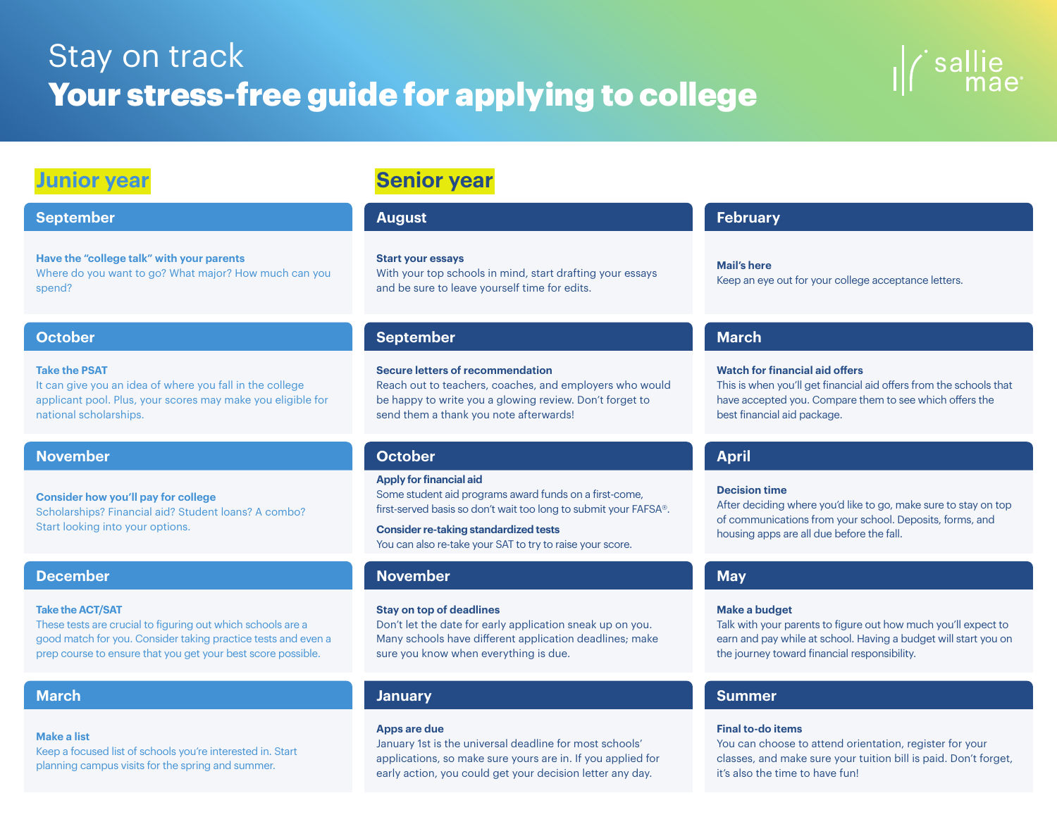# Stay on track Your stress-free guide for applying to college



## **Junior year**

### **September August February**

**Have the "college talk" with your parents**  Where do you want to go? What major? How much can you spend?

### **Take the PSAT**

It can give you an idea of where you fall in the college applicant pool. Plus, your scores may make you eligible for national scholarships.

### **November October April**

**Consider how you'll pay for college** Scholarships? Financial aid? Student loans? A combo? Start looking into your options.

### **December November May**

### **Take the ACT/SAT**

These tests are crucial to figuring out which schools are a good match for you. Consider taking practice tests and even a prep course to ensure that you get your best score possible.

### **Make a list**

Keep a focused list of schools you're interested in. Start planning campus visits for the spring and summer.

# **Senior year**

### **Start your essays**

With your top schools in mind, start drafting your essays and be sure to leave yourself time for edits.

### **October September March**

### **Secure letters of recommendation**

Reach out to teachers, coaches, and employers who would be happy to write you a glowing review. Don't forget to send them a thank you note afterwards!

### **Apply for financial aid**

Some student aid programs award funds on a first-come, first-served basis so don't wait too long to submit your FAFSA®.

## **Consider re-taking standardized tests**

You can also re-take your SAT to try to raise your score.

### **Stay on top of deadlines**

Don't let the date for early application sneak up on you. Many schools have different application deadlines; make sure you know when everything is due.

### **Apps are due**

January 1st is the universal deadline for most schools' applications, so make sure yours are in. If you applied for early action, you could get your decision letter any day.

**Mail's here** Keep an eye out for your college acceptance letters.

### **Watch for financial aid offers**

This is when you'll get financial aid offers from the schools that have accepted you. Compare them to see which offers the best financial aid package.

### **Decision time**

After deciding where you'd like to go, make sure to stay on top of communications from your school. Deposits, forms, and housing apps are all due before the fall.

### **Make a budget**

Talk with your parents to figure out how much you'll expect to earn and pay while at school. Having a budget will start you on the journey toward financial responsibility.

### **March January Summer**

### **Final to-do items**

You can choose to attend orientation, register for your classes, and make sure your tuition bill is paid. Don't forget, it's also the time to have fun!